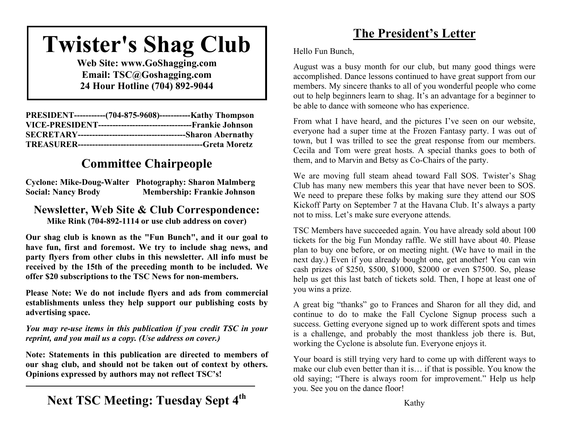# **Twister's Shag Club**

**Web Site: www.GoShagging.com Email: TSC@Goshagging.com 24 Hour Hotline (704) 892-9044** 

| PRESIDENT------------(704-875-9608)------------Kathy Thompson |
|---------------------------------------------------------------|
|                                                               |
|                                                               |
|                                                               |

# **Committee Chairpeople**

**Cyclone: Mike-Doug-Walter Photography: Sharon Malmberg Social: Nancy Brody Membership: Frankie Johnson** 

### **Newsletter, Web Site & Club Correspondence: Mike Rink (704-892-1114 or use club address on cover)**

**Our shag club is known as the "Fun Bunch", and it our goal to have fun, first and foremost. We try to include shag news, and party flyers from other clubs in this newsletter. All info must be received by the 15th of the preceding month to be included. We offer \$20 subscriptions to the TSC News for non-members.** 

**Please Note: We do not include flyers and ads from commercial establishments unless they help support our publishing costs by advertising space.** 

*You may re-use items in this publication if you credit TSC in your reprint, and you mail us a copy. (Use address on cover.)* 

**Note: Statements in this publication are directed to members of our shag club, and should not be taken out of context by others. Opinions expressed by authors may not reflect TSC's!** 

# **Next TSC Meeting: Tuesday Sept 4th**

# **The President's Letter**

Hello Fun Bunch,

August was a busy month for our club, but many good things were accomplished. Dance lessons continued to have great support from our members. My sincere thanks to all of you wonderful people who come out to help beginners learn to shag. It's an advantage for a beginner to be able to dance with someone who has experience.

From what I have heard, and the pictures I've seen on our website, everyone had a super time at the Frozen Fantasy party. I was out of town, but I was trilled to see the great response from our members. Cecila and Tom were great hosts. A special thanks goes to both of them, and to Marvin and Betsy as Co-Chairs of the party.

We are moving full steam ahead toward Fall SOS. Twister's Shag Club has many new members this year that have never been to SOS. We need to prepare these folks by making sure they attend our SOS Kickoff Party on September 7 at the Havana Club. It's always a party not to miss. Let's make sure everyone attends.

TSC Members have succeeded again. You have already sold about 100 tickets for the big Fun Monday raffle. We still have about 40. Please plan to buy one before, or on meeting night. (We have to mail in the next day.) Even if you already bought one, get another! You can win cash prizes of \$250, \$500, \$1000, \$2000 or even \$7500. So, please help us get this last batch of tickets sold. Then, I hope at least one of you wins a prize.

A great big "thanks" go to Frances and Sharon for all they did, and continue to do to make the Fall Cyclone Signup process such a success. Getting everyone signed up to work different spots and times is a challenge, and probably the most thankless job there is. But, working the Cyclone is absolute fun. Everyone enjoys it.

Your board is still trying very hard to come up with different ways to make our club even better than it is… if that is possible. You know the old saying; "There is always room for improvement." Help us help you. See you on the dance floor!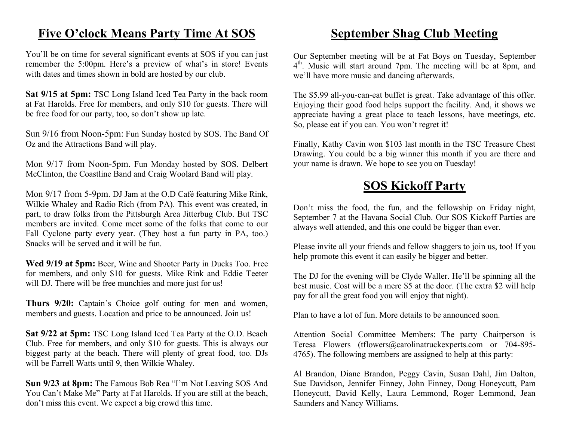# **Five O'clock Means Party Time At SOS**

You'll be on time for several significant events at SOS if you can just remember the 5:00pm. Here's a preview of what's in store! Events with dates and times shown in bold are hosted by our club.

**Sat 9/15 at 5pm:** TSC Long Island Iced Tea Party in the back room at Fat Harolds. Free for members, and only \$10 for guests. There will be free food for our party, too, so don't show up late.

Sun 9/16 from Noon-5pm: Fun Sunday hosted by SOS. The Band Of Oz and the Attractions Band will play.

Mon 9/17 from Noon-5pm. Fun Monday hosted by SOS. Delbert McClinton, the Coastline Band and Craig Woolard Band will play.

Mon 9/17 from 5-9pm. DJ Jam at the O.D Café featuring Mike Rink, Wilkie Whaley and Radio Rich (from PA). This event was created, in part, to draw folks from the Pittsburgh Area Jitterbug Club. But TSC members are invited. Come meet some of the folks that come to our Fall Cyclone party every year. (They host a fun party in PA, too.) Snacks will be served and it will be fun.

**Wed 9/19 at 5pm:** Beer, Wine and Shooter Party in Ducks Too. Free for members, and only \$10 for guests. Mike Rink and Eddie Teeter will DJ. There will be free munchies and more just for us!

**Thurs 9/20:** Captain's Choice golf outing for men and women, members and guests. Location and price to be announced. Join us!

**Sat 9/22 at 5pm:** TSC Long Island Iced Tea Party at the O.D. Beach Club. Free for members, and only \$10 for guests. This is always our biggest party at the beach. There will plenty of great food, too. DJs will be Farrell Watts until 9, then Wilkie Whaley.

**Sun 9/23 at 8pm:** The Famous Bob Rea "I'm Not Leaving SOS And You Can't Make Me" Party at Fat Harolds. If you are still at the beach, don't miss this event. We expect a big crowd this time.

# **September Shag Club Meeting**

Our September meeting will be at Fat Boys on Tuesday, September <sup>4</sup>th. Music will start around 7pm. The meeting will be at 8pm, and we'll have more music and dancing afterwards.

The \$5.99 all-you-can-eat buffet is great. Take advantage of this offer. Enjoying their good food helps support the facility. And, it shows we appreciate having a great place to teach lessons, have meetings, etc. So, please eat if you can. You won't regret it!

Finally, Kathy Cavin won \$103 last month in the TSC Treasure Chest Drawing. You could be a big winner this month if you are there and your name is drawn. We hope to see you on Tuesday!

# **SOS Kickoff Party**

Don't miss the food, the fun, and the fellowship on Friday night, September 7 at the Havana Social Club. Our SOS Kickoff Parties are always well attended, and this one could be bigger than ever.

Please invite all your friends and fellow shaggers to join us, too! If you help promote this event it can easily be bigger and better.

The DJ for the evening will be Clyde Waller. He'll be spinning all the best music. Cost will be a mere \$5 at the door. (The extra \$2 will help pay for all the great food you will enjoy that night).

Plan to have a lot of fun. More details to be announced soon.

Attention Social Committee Members: The party Chairperson is Teresa Flowers (tflowers@carolinatruckexperts.com or 704-895- 4765). The following members are assigned to help at this party:

Al Brandon, Diane Brandon, Peggy Cavin, Susan Dahl, Jim Dalton, Sue Davidson, Jennifer Finney, John Finney, Doug Honeycutt, Pam Honeycutt, David Kelly, Laura Lemmond, Roger Lemmond, Jean Saunders and Nancy Williams.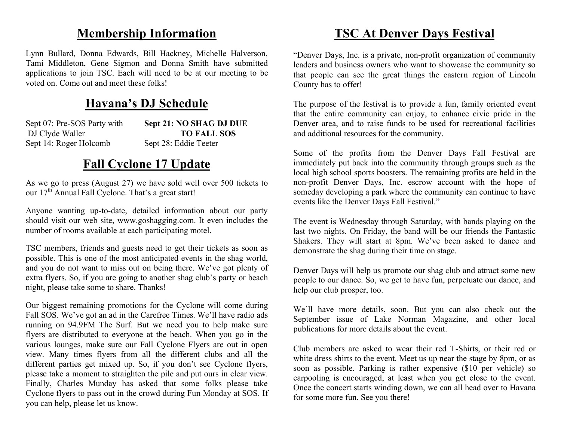## **Membership Information**

Lynn Bullard, Donna Edwards, Bill Hackney, Michelle Halverson, Tami Middleton, Gene Sigmon and Donna Smith have submitted applications to join TSC. Each will need to be at our meeting to be voted on. Come out and meet these folks!

# **Havana's DJ Schedule**

Sept 07: Pre-SOS Party with DJ Clyde Waller **Sept 21: NO SHAG DJ DUE TO FALL SOS**  Sept 14: Roger Holcomb Sept 28: Eddie Teeter

# **Fall Cyclone 17 Update**

As we go to press (August 27) we have sold well over 500 tickets to our  $17<sup>th</sup>$  Annual Fall Cyclone. That's a great start!

Anyone wanting up-to-date, detailed information about our party should visit our web site, www.goshagging.com. It even includes the number of rooms available at each participating motel.

TSC members, friends and guests need to get their tickets as soon as possible. This is one of the most anticipated events in the shag world, and you do not want to miss out on being there. We've got plenty of extra flyers. So, if you are going to another shag club's party or beach night, please take some to share. Thanks!

Our biggest remaining promotions for the Cyclone will come during Fall SOS. We've got an ad in the Carefree Times. We'll have radio ads running on 94.9FM The Surf. But we need you to help make sure flyers are distributed to everyone at the beach. When you go in the various lounges, make sure our Fall Cyclone Flyers are out in open view. Many times flyers from all the different clubs and all the different parties get mixed up. So, if you don't see Cyclone flyers, please take a moment to straighten the pile and put ours in clear view. Finally, Charles Munday has asked that some folks please take Cyclone flyers to pass out in the crowd during Fun Monday at SOS. If you can help, please let us know.

# **TSC At Denver Days Festival**

"Denver Days, Inc. is a private, non-profit organization of community leaders and business owners who want to showcase the community so that people can see the great things the eastern region of Lincoln County has to offer!

The purpose of the festival is to provide a fun, family oriented event that the entire community can enjoy, to enhance civic pride in the Denver area, and to raise funds to be used for recreational facilities and additional resources for the community.

Some of the profits from the Denver Days Fall Festival are immediately put back into the community through groups such as the local high school sports boosters. The remaining profits are held in the non-profit Denver Days, Inc. escrow account with the hope of someday developing a park where the community can continue to have events like the Denver Days Fall Festival."

The event is Wednesday through Saturday, with bands playing on the last two nights. On Friday, the band will be our friends the Fantastic Shakers. They will start at 8pm. We've been asked to dance and demonstrate the shag during their time on stage.

Denver Days will help us promote our shag club and attract some new people to our dance. So, we get to have fun, perpetuate our dance, and help our club prosper, too.

We'll have more details, soon. But you can also check out the September issue of Lake Norman Magazine, and other local publications for more details about the event.

Club members are asked to wear their red T-Shirts, or their red or white dress shirts to the event. Meet us up near the stage by 8pm, or as soon as possible. Parking is rather expensive (\$10 per vehicle) so carpooling is encouraged, at least when you get close to the event. Once the concert starts winding down, we can all head over to Havana for some more fun. See you there!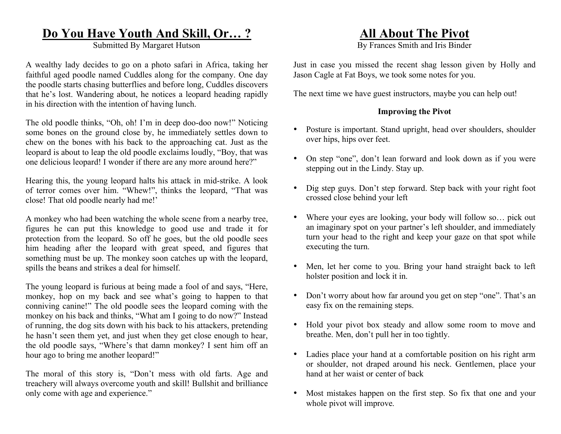# **Do You Have Youth And Skill, Or… ?**

Submitted By Margaret Hutson

A wealthy lady decides to go on a photo safari in Africa, taking her faithful aged poodle named Cuddles along for the company. One day the poodle starts chasing butterflies and before long, Cuddles discovers that he's lost. Wandering about, he notices a leopard heading rapidly in his direction with the intention of having lunch.

The old poodle thinks, "Oh, oh! I'm in deep doo-doo now!" Noticing some bones on the ground close by, he immediately settles down to chew on the bones with his back to the approaching cat. Just as the leopard is about to leap the old poodle exclaims loudly, "Boy, that was one delicious leopard! I wonder if there are any more around here?"

Hearing this, the young leopard halts his attack in mid-strike. A look of terror comes over him. "Whew!", thinks the leopard, "That was close! That old poodle nearly had me!'

A monkey who had been watching the whole scene from a nearby tree, figures he can put this knowledge to good use and trade it for protection from the leopard. So off he goes, but the old poodle sees him heading after the leopard with great speed, and figures that something must be up. The monkey soon catches up with the leopard, spills the beans and strikes a deal for himself.

The young leopard is furious at being made a fool of and says, "Here, monkey, hop on my back and see what's going to happen to that conniving canine!" The old poodle sees the leopard coming with the monkey on his back and thinks, "What am I going to do now?" Instead of running, the dog sits down with his back to his attackers, pretending he hasn't seen them yet, and just when they get close enough to hear, the old poodle says, "Where's that damn monkey? I sent him off an hour ago to bring me another leopard!"

The moral of this story is, "Don't mess with old farts. Age and treachery will always overcome youth and skill! Bullshit and brilliance only come with age and experience."

## **All About The Pivot**

By Frances Smith and Iris Binder

Just in case you missed the recent shag lesson given by Holly and Jason Cagle at Fat Boys, we took some notes for you.

The next time we have guest instructors, maybe you can help out!

### **Improving the Pivot**

- Posture is important. Stand upright, head over shoulders, shoulder over hips, hips over feet.
- • On step "one", don't lean forward and look down as if you were stepping out in the Lindy. Stay up.
- Dig step guys. Don't step forward. Step back with your right foot crossed close behind your left
- Where your eyes are looking, your body will follow so... pick out an imaginary spot on your partner's left shoulder, and immediately turn your head to the right and keep your gaze on that spot while executing the turn.
- Men, let her come to you. Bring your hand straight back to left holster position and lock it in.
- • Don't worry about how far around you get on step "one". That's an easy fix on the remaining steps.
- Hold your pivot box steady and allow some room to move and breathe. Men, don't pull her in too tightly.
- Ladies place your hand at a comfortable position on his right arm or shoulder, not draped around his neck. Gentlemen, place your hand at her waist or center of back
- • Most mistakes happen on the first step. So fix that one and your whole pivot will improve.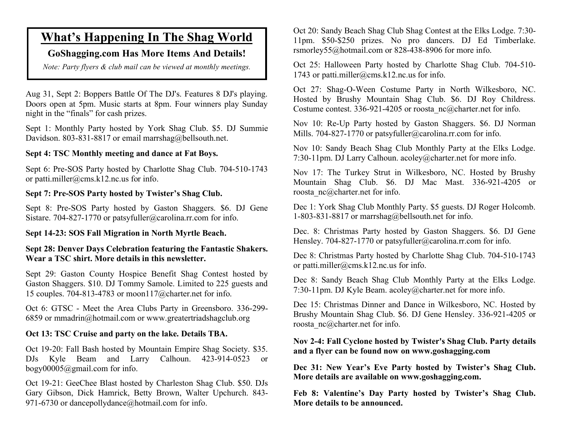# **What's Happening In The Shag World**

### **GoShagging.com Has More Items And Details!**

*Note: Party flyers & club mail can be viewed at monthly meetings.* 

Aug 31, Sept 2: Boppers Battle Of The DJ's. Features 8 DJ's playing. Doors open at 5pm. Music starts at 8pm. Four winners play Sunday night in the "finals" for cash prizes.

Sept 1: Monthly Party hosted by York Shag Club. \$5. DJ Summie Davidson. 803-831-8817 or email marrshag@bellsouth.net.

### **Sept 4: TSC Monthly meeting and dance at Fat Boys.**

Sept 6: Pre-SOS Party hosted by Charlotte Shag Club. 704-510-1743 or patti.miller@cms.k12.nc.us for info.

### **Sept 7: Pre-SOS Party hosted by Twister's Shag Club.**

Sept 8: Pre-SOS Party hosted by Gaston Shaggers. \$6. DJ Gene Sistare. 704-827-1770 or patsyfuller@carolina.rr.com for info.

### **Sept 14-23: SOS Fall Migration in North Myrtle Beach.**

**Sept 28: Denver Days Celebration featuring the Fantastic Shakers. Wear a TSC shirt. More details in this newsletter.** 

Sept 29: Gaston County Hospice Benefit Shag Contest hosted by Gaston Shaggers. \$10. DJ Tommy Samole. Limited to 225 guests and 15 couples. 704-813-4783 or moon117@charter.net for info.

Oct 6: GTSC - Meet the Area Clubs Party in Greensboro. 336-299- 6859 or mmadrin@hotmail.com or www.greatertriadshagclub.org

### **Oct 13: TSC Cruise and party on the lake. Details TBA.**

Oct 19-20: Fall Bash hosted by Mountain Empire Shag Society. \$35. DJs Kyle Beam and Larry Calhoun. 423-914-0523 or bogy00005@gmail.com for info.

Oct 19-21: GeeChee Blast hosted by Charleston Shag Club. \$50. DJs Gary Gibson, Dick Hamrick, Betty Brown, Walter Upchurch. 843- 971-6730 or dancepollydance@hotmail.com for info.

Oct 20: Sandy Beach Shag Club Shag Contest at the Elks Lodge. 7:30- 11pm. \$50-\$250 prizes. No pro dancers. DJ Ed Timberlake. rsmorley55@hotmail.com or 828-438-8906 for more info.

Oct 25: Halloween Party hosted by Charlotte Shag Club. 704-510- 1743 or patti.miller@cms.k12.nc.us for info.

Oct 27: Shag-O-Ween Costume Party in North Wilkesboro, NC. Hosted by Brushy Mountain Shag Club. \$6. DJ Roy Childress. Costume contest. 336-921-4205 or roosta\_nc@charter.net for info.

Nov 10: Re-Up Party hosted by Gaston Shaggers. \$6. DJ Norman Mills. 704-827-1770 or patsyfuller@carolina.rr.com for info.

Nov 10: Sandy Beach Shag Club Monthly Party at the Elks Lodge. 7:30-11pm. DJ Larry Calhoun. acoley@charter.net for more info.

Nov 17: The Turkey Strut in Wilkesboro, NC. Hosted by Brushy Mountain Shag Club. \$6. DJ Mac Mast. 336-921-4205 or roosta\_nc@charter.net for info.

Dec 1: York Shag Club Monthly Party. \$5 guests. DJ Roger Holcomb. 1-803-831-8817 or marrshag@bellsouth.net for info.

Dec. 8: Christmas Party hosted by Gaston Shaggers. \$6. DJ Gene Hensley. 704-827-1770 or patsyfuller@carolina.rr.com for info.

Dec 8: Christmas Party hosted by Charlotte Shag Club. 704-510-1743 or patti.miller@cms.k12.nc.us for info.

Dec 8: Sandy Beach Shag Club Monthly Party at the Elks Lodge. 7:30-11pm. DJ Kyle Beam. acoley@charter.net for more info.

Dec 15: Christmas Dinner and Dance in Wilkesboro, NC. Hosted by Brushy Mountain Shag Club. \$6. DJ Gene Hensley. 336-921-4205 or roosta\_nc@charter.net for info.

### **Nov 2-4: Fall Cyclone hosted by Twister's Shag Club. Party details and a flyer can be found now on www.goshagging.com**

**Dec 31: New Year's Eve Party hosted by Twister's Shag Club. More details are available on www.goshagging.com.** 

**Feb 8: Valentine's Day Party hosted by Twister's Shag Club. More details to be announced.**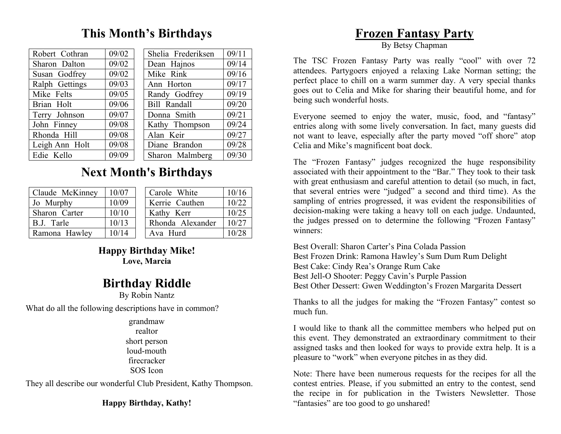# **This Month's Birthdays**

| Robert Cothran | 09/02 | Shelia Frederiksen | 09/11 |
|----------------|-------|--------------------|-------|
| Sharon Dalton  | 09/02 | Dean Hajnos        | 09/14 |
| Susan Godfrey  | 09/02 | Mike Rink          | 09/16 |
| Ralph Gettings | 09/03 | Ann Horton         | 09/17 |
| Mike Felts     | 09/05 | Randy Godfrey      | 09/19 |
| Brian Holt     | 09/06 | Bill Randall       | 09/20 |
| Terry Johnson  | 09/07 | Donna Smith        | 09/21 |
| John Finney    | 09/08 | Kathy Thompson     | 09/24 |
| Rhonda Hill    | 09/08 | Alan Keir          | 09/27 |
| Leigh Ann Holt | 09/08 | Diane Brandon      | 09/28 |
| Edie Kello     | 09/09 | Sharon Malmberg    | 09/30 |

# **Next Month's Birthdays**

| Claude McKinney | 10/07 | Carole White     | 10/16 |
|-----------------|-------|------------------|-------|
| Jo Murphy       | 10/09 | Kerrie Cauthen   | 10/22 |
| Sharon Carter   | 10/10 | Kathy Kerr       | 10/25 |
| B.J. Tarle      | 10/13 | Rhonda Alexander | 10/27 |
| Ramona Hawley   | 10/14 | Ava Hurd         | 10/28 |

### **Happy Birthday Mike! Love, Marcia**

# **Birthday Riddle**

By Robin Nantz

What do all the following descriptions have in common?

grandmaw realtor short person loud-mouth firecracker SOS Icon

They all describe our wonderful Club President, Kathy Thompson.

### **Happy Birthday, Kathy!**

# **Frozen Fantasy Party**

By Betsy Chapman

The TSC Frozen Fantasy Party was really "cool" with over 72 attendees. Partygoers enjoyed a relaxing Lake Norman setting; the perfect place to chill on a warm summer day. A very special thanks goes out to Celia and Mike for sharing their beautiful home, and for being such wonderful hosts.

Everyone seemed to enjoy the water, music, food, and "fantasy" entries along with some lively conversation. In fact, many guests did not want to leave, especially after the party moved "off shore" atop Celia and Mike's magnificent boat dock.

The "Frozen Fantasy" judges recognized the huge responsibility associated with their appointment to the "Bar." They took to their task with great enthusiasm and careful attention to detail (so much, in fact, that several entries were "judged" a second and third time). As the sampling of entries progressed, it was evident the responsibilities of decision-making were taking a heavy toll on each judge. Undaunted, the judges pressed on to determine the following "Frozen Fantasy" winners:

Best Overall: Sharon Carter's Pina Colada Passion Best Frozen Drink: Ramona Hawley's Sum Dum Rum Delight Best Cake: Cindy Rea's Orange Rum Cake Best Jell-O Shooter: Peggy Cavin's Purple Passion Best Other Dessert: Gwen Weddington's Frozen Margarita Dessert

Thanks to all the judges for making the "Frozen Fantasy" contest so much fun.

I would like to thank all the committee members who helped put on this event. They demonstrated an extraordinary commitment to their assigned tasks and then looked for ways to provide extra help. It is a pleasure to "work" when everyone pitches in as they did.

Note: There have been numerous requests for the recipes for all the contest entries. Please, if you submitted an entry to the contest, send the recipe in for publication in the Twisters Newsletter. Those "fantasies" are too good to go unshared!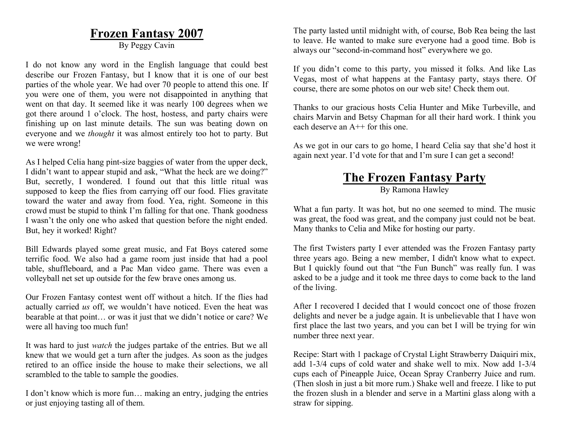### **Frozen Fantasy 2007**

By Peggy Cavin

I do not know any word in the English language that could best describe our Frozen Fantasy, but I know that it is one of our best parties of the whole year. We had over 70 people to attend this one. If you were one of them, you were not disappointed in anything that went on that day. It seemed like it was nearly 100 degrees when we got there around 1 o'clock. The host, hostess, and party chairs were finishing up on last minute details. The sun was beating down on everyone and we *thought* it was almost entirely too hot to party. But we were wrong!

As I helped Celia hang pint-size baggies of water from the upper deck, I didn't want to appear stupid and ask, "What the heck are we doing?" But, secretly, I wondered. I found out that this little ritual was supposed to keep the flies from carrying off our food. Flies gravitate toward the water and away from food. Yea, right. Someone in this crowd must be stupid to think I'm falling for that one. Thank goodness I wasn't the only one who asked that question before the night ended. But, hey it worked! Right?

Bill Edwards played some great music, and Fat Boys catered some terrific food. We also had a game room just inside that had a pool table, shuffleboard, and a Pac Man video game. There was even a volleyball net set up outside for the few brave ones among us.

Our Frozen Fantasy contest went off without a hitch. If the flies had actually carried *us* off, we wouldn't have noticed. Even the heat was bearable at that point… or was it just that we didn't notice or care? We were all having too much fun!

It was hard to just *watch* the judges partake of the entries. But we all knew that we would get a turn after the judges. As soon as the judges retired to an office inside the house to make their selections, we all scrambled to the table to sample the goodies.

I don't know which is more fun… making an entry, judging the entries or just enjoying tasting all of them.

The party lasted until midnight with, of course, Bob Rea being the last to leave. He wanted to make sure everyone had a good time. Bob is always our "second-in-command host" everywhere we go.

If you didn't come to this party, you missed it folks. And like Las Vegas, most of what happens at the Fantasy party, stays there. Of course, there are some photos on our web site! Check them out.

Thanks to our gracious hosts Celia Hunter and Mike Turbeville, and chairs Marvin and Betsy Chapman for all their hard work. I think you each deserve an  $A++$  for this one.

As we got in our cars to go home, I heard Celia say that she'd host it again next year. I'd vote for that and I'm sure I can get a second!

# **The Frozen Fantasy Party**

By Ramona Hawley

What a fun party. It was hot, but no one seemed to mind. The music was great, the food was great, and the company just could not be beat. Many thanks to Celia and Mike for hosting our party.

The first Twisters party I ever attended was the Frozen Fantasy party three years ago. Being a new member, I didn't know what to expect. But I quickly found out that "the Fun Bunch" was really fun. I was asked to be a judge and it took me three days to come back to the land of the living.

After I recovered I decided that I would concoct one of those frozen delights and never be a judge again. It is unbelievable that I have won first place the last two years, and you can bet I will be trying for win number three next year.

Recipe: Start with 1 package of Crystal Light Strawberry Daiquiri mix, add 1-3/4 cups of cold water and shake well to mix. Now add 1-3/4 cups each of Pineapple Juice, Ocean Spray Cranberry Juice and rum. (Then slosh in just a bit more rum.) Shake well and freeze. I like to put the frozen slush in a blender and serve in a Martini glass along with a straw for sipping.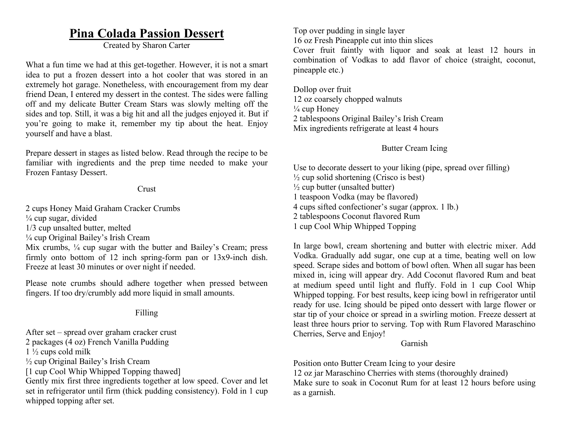### **Pina Colada Passion Dessert**

Created by Sharon Carter

What a fun time we had at this get-together. However, it is not a smart idea to put a frozen dessert into a hot cooler that was stored in an extremely hot garage. Nonetheless, with encouragement from my dear friend Dean, I entered my dessert in the contest. The sides were falling off and my delicate Butter Cream Stars was slowly melting off the sides and top. Still, it was a big hit and all the judges enjoyed it. But if you're going to make it, remember my tip about the heat. Enjoy yourself and have a blast.

Prepare dessert in stages as listed below. Read through the recipe to be familiar with ingredients and the prep time needed to make your Frozen Fantasy Dessert.

### Crust

2 cups Honey Maid Graham Cracker Crumbs  $\frac{1}{4}$  cup sugar, divided

- 1/3 cup unsalted butter, melted
- cup Original Bailey's Irish Cream

Mix crumbs,  $\frac{1}{4}$  cup sugar with the butter and Bailey's Cream; press firmly onto bottom of 12 inch spring-form pan or 13x9-inch dish. Freeze at least 30 minutes or over night if needed.

Please note crumbs should adhere together when pressed between fingers. If too dry/crumbly add more liquid in small amounts.

### Filling

After set – spread over graham cracker crust

2 packages (4 oz) French Vanilla Pudding

 $1\frac{1}{2}$  cups cold milk

 $\frac{1}{2}$  cup Original Bailey's Irish Cream

[1 cup Cool Whip Whipped Topping thawed]

Gently mix first three ingredients together at low speed. Cover and let set in refrigerator until firm (thick pudding consistency). Fold in 1 cup whipped topping after set.

Top over pudding in single layer

16 oz Fresh Pineapple cut into thin slices

Cover fruit faintly with liquor and soak at least 12 hours in combination of Vodkas to add flavor of choice (straight, coconut, pineapple etc.)

Dollop over fruit 12 oz coarsely chopped walnuts  $\frac{1}{4}$  cup Honey 2 tablespoons Original Bailey's Irish Cream Mix ingredients refrigerate at least 4 hours

### Butter Cream Icing

Use to decorate dessert to your liking (pipe, spread over filling)  $\frac{1}{2}$  cup solid shortening (Crisco is best)  $\frac{1}{2}$  cup butter (unsalted butter) 1 teaspoon Vodka (may be flavored) 4 cups sifted confectioner's sugar (approx. 1 lb.) 2 tablespoons Coconut flavored Rum 1 cup Cool Whip Whipped Topping

In large bowl, cream shortening and butter with electric mixer. Add Vodka. Gradually add sugar, one cup at a time, beating well on low speed. Scrape sides and bottom of bowl often. When all sugar has been mixed in, icing will appear dry. Add Coconut flavored Rum and beat at medium speed until light and fluffy. Fold in 1 cup Cool Whip Whipped topping. For best results, keep icing bowl in refrigerator until ready for use. Icing should be piped onto dessert with large flower or star tip of your choice or spread in a swirling motion. Freeze dessert at least three hours prior to serving. Top with Rum Flavored Maraschino Cherries, Serve and Enjoy!

Garnish

Position onto Butter Cream Icing to your desire 12 oz jar Maraschino Cherries with stems (thoroughly drained) Make sure to soak in Coconut Rum for at least 12 hours before using as a garnish.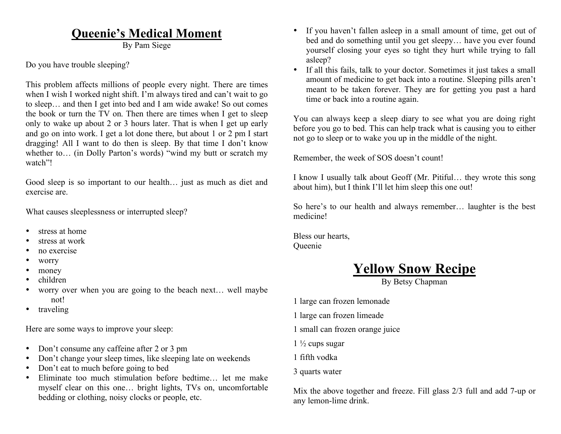### **Queenie's Medical Moment**

By Pam Siege

Do you have trouble sleeping?

This problem affects millions of people every night. There are times when I wish I worked night shift. I'm always tired and can't wait to go to sleep… and then I get into bed and I am wide awake! So out comes the book or turn the TV on. Then there are times when I get to sleep only to wake up about 2 or 3 hours later. That is when I get up early and go on into work. I get a lot done there, but about 1 or 2 pm I start dragging! All I want to do then is sleep. By that time I don't know whether to... (in Dolly Parton's words) "wind my butt or scratch my watch"!

Good sleep is so important to our health… just as much as diet and exercise are.

What causes sleeplessness or interrupted sleep?

- •stress at home
- •stress at work
- •no exercise
- •worry
- •money
- •children
- • worry over when you are going to the beach next… well maybe not!
- $\bullet$ traveling

Here are some ways to improve your sleep:

- •Don't consume any caffeine after 2 or 3 pm
- •Don't change your sleep times, like sleeping late on weekends
- •Don't eat to much before going to bed
- $\bullet$  Eliminate too much stimulation before bedtime… let me make myself clear on this one… bright lights, TVs on, uncomfortable bedding or clothing, noisy clocks or people, etc.
- If you haven't fallen asleep in a small amount of time, get out of bed and do something until you get sleepy… have you ever found yourself closing your eyes so tight they hurt while trying to fall asleep?
- If all this fails, talk to your doctor. Sometimes it just takes a small amount of medicine to get back into a routine. Sleeping pills aren't meant to be taken forever. They are for getting you past a hard time or back into a routine again.

You can always keep a sleep diary to see what you are doing right before you go to bed. This can help track what is causing you to either not go to sleep or to wake you up in the middle of the night.

Remember, the week of SOS doesn't count!

I know I usually talk about Geoff (Mr. Pitiful… they wrote this song about him), but I think I'll let him sleep this one out!

So here's to our health and always remember… laughter is the best medicine!

Bless our hearts, Queenie

**Yellow Snow Recipe**

By Betsy Chapman

- 1 large can frozen lemonade
- 1 large can frozen limeade
- 1 small can frozen orange juice
- $1\frac{1}{2}$  cups sugar
- 1 fifth vodka
- 3 quarts water

Mix the above together and freeze. Fill glass 2/3 full and add 7-up or any lemon-lime drink.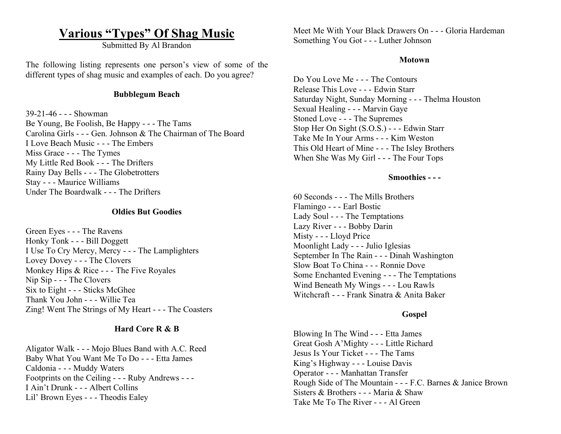### **Various "Types" Of Shag Music**

Submitted By Al Brandon

The following listing represents one person's view of some of the different types of shag music and examples of each. Do you agree?

#### **Bubblegum Beach**

39-21-46 - - - Showman Be Young, Be Foolish, Be Happy - - - The Tams Carolina Girls - - - Gen. Johnson & The Chairman of The Board I Love Beach Music - - - The Embers Miss Grace - - - The Tymes My Little Red Book - - - The Drifters Rainy Day Bells - - - The Globetrotters Stay - - - Maurice Williams Under The Boardwalk - - - The Drifters

#### **Oldies But Goodies**

Green Eyes - - - The Ravens Honky Tonk - - - Bill Doggett I Use To Cry Mercy, Mercy - - - The Lamplighters Lovey Dovey - - - The Clovers Monkey Hips & Rice - - - The Five Royales Nip Sip - - - The Clovers Six to Eight - - - Sticks McGhee Thank You John - - - Willie Tea Zing! Went The Strings of My Heart - - - The Coasters

#### **Hard Core R & B**

Aligator Walk - - - Mojo Blues Band with A.C. Reed Baby What You Want Me To Do - - - Etta James Caldonia - - - Muddy Waters Footprints on the Ceiling - - - Ruby Andrews - - - I Ain't Drunk - - - Albert Collins Lil' Brown Eyes - - - Theodis Ealey

Meet Me With Your Black Drawers On - - - Gloria Hardeman Something You Got - - - Luther Johnson

#### **Motown**

Do You Love Me - - - The Contours Release This Love - - - Edwin Starr Saturday Night, Sunday Morning - - - Thelma Houston Sexual Healing - - - Marvin Gaye Stoned Love - - - The Supremes Stop Her On Sight (S.O.S.) - - - Edwin Starr Take Me In Your Arms - - - Kim Weston This Old Heart of Mine - - - The Isley Brothers When She Was My Girl - - - The Four Tops

#### **Smoothies - - -**

60 Seconds - - - The Mills Brothers Flamingo - - - Earl Bostic Lady Soul - - - The Temptations Lazy River - - - Bobby Darin Misty - - - Lloyd Price Moonlight Lady - - - Julio Iglesias September In The Rain - - - Dinah Washington Slow Boat To China - - - Ronnie Dove Some Enchanted Evening - - - The Temptations Wind Beneath My Wings - - - Lou Rawls Witchcraft - - - Frank Sinatra & Anita Baker

#### **Gospel**

Blowing In The Wind - - - Etta James Great Gosh A'Mighty - - - Little Richard Jesus Is Your Ticket - - - The Tams King's Highway - - - Louise Davis Operator - - - Manhattan Transfer Rough Side of The Mountain - - - F.C. Barnes & Janice Brown Sisters & Brothers - - - Maria & Shaw Take Me To The River - - - Al Green